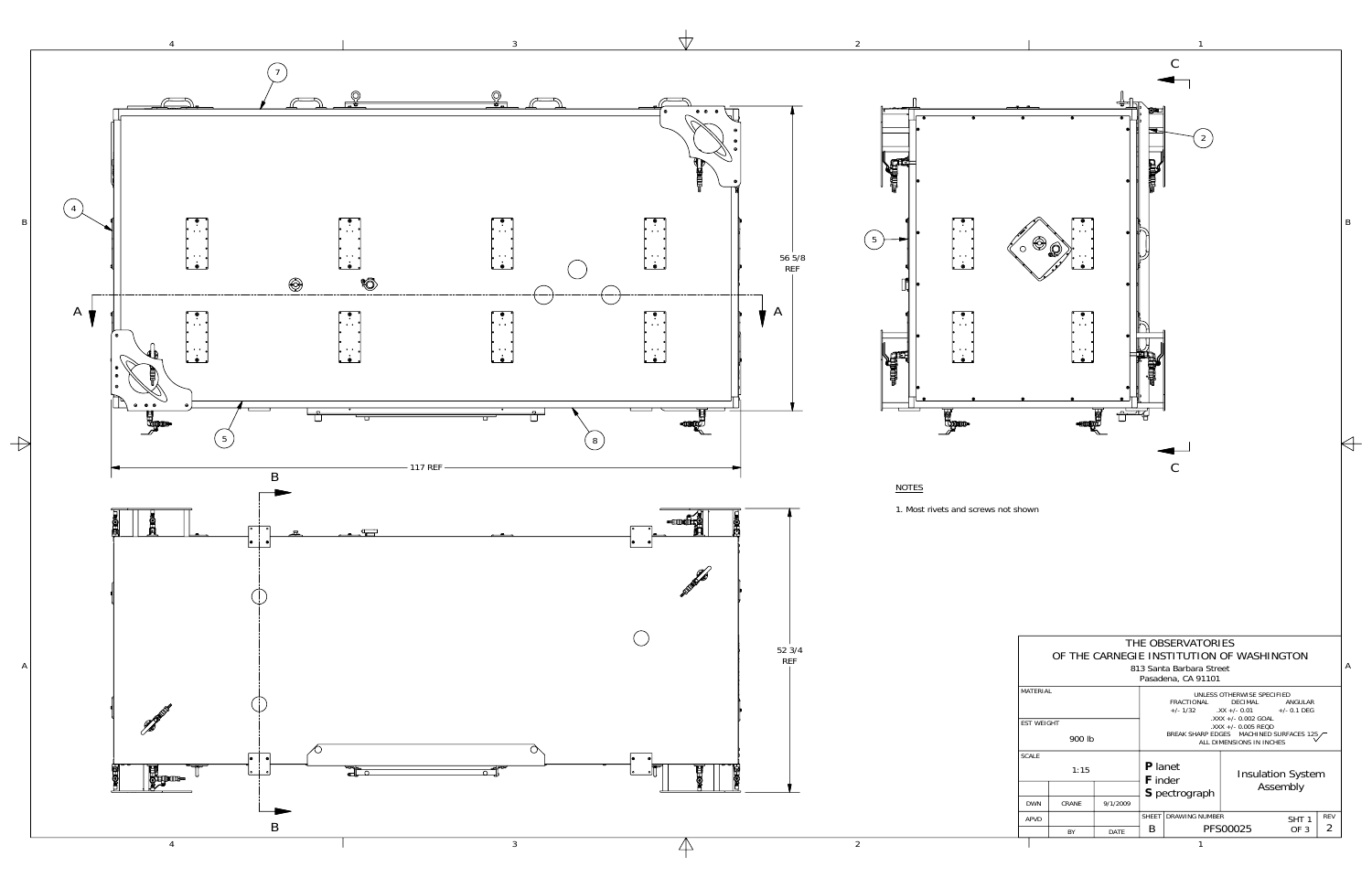

A

| THE OBSERVATORIES<br>OF THE CARNEGIE INSTITUTION OF WASHINGTON |        |          |                                                                                                                                                                                 |                        |                          |                  |            |  |  |  |  |  |
|----------------------------------------------------------------|--------|----------|---------------------------------------------------------------------------------------------------------------------------------------------------------------------------------|------------------------|--------------------------|------------------|------------|--|--|--|--|--|
| 813 Santa Barbara Street<br>Pasadena, CA 91101                 |        |          |                                                                                                                                                                                 |                        |                          |                  |            |  |  |  |  |  |
| MATFRIAI                                                       |        |          | UNLESS OTHERWISE SPECIFIED<br>FRACTIONAL<br>DECIMAL<br>ANGULAR<br>$\frac{1}{2}$ XX +/- 0.01 +/- 0.1 DEG<br>$+/- 1/32$<br>$.$ XXX +/- 0.002 GOAL<br>$\lambda$ XXX +/- 0.005 REQD |                        |                          |                  |            |  |  |  |  |  |
| <b>EST WEIGHT</b>                                              |        |          |                                                                                                                                                                                 |                        |                          |                  |            |  |  |  |  |  |
|                                                                | 900 lb |          | BREAK SHARP EDGES MACHINED SURFACES 125,<br>ALL DIMENSIONS IN INCHES                                                                                                            |                        |                          |                  |            |  |  |  |  |  |
| <b>SCALE</b>                                                   | 1:15   |          | <b>P</b> lanet<br><b>F</b> inder                                                                                                                                                |                        | <b>Insulation System</b> |                  |            |  |  |  |  |  |
|                                                                |        |          |                                                                                                                                                                                 | S pectrograph          | Assembly                 |                  |            |  |  |  |  |  |
| <b>DWN</b>                                                     | CRANF  | 9/1/2009 |                                                                                                                                                                                 |                        |                          |                  |            |  |  |  |  |  |
| APVD                                                           |        |          |                                                                                                                                                                                 | SHEET   DRAWING NUMBER |                          | SHT <sub>1</sub> | <b>REV</b> |  |  |  |  |  |
|                                                                | BY     | DATE     | B                                                                                                                                                                               |                        | PFS00025                 | OF <sub>3</sub>  | 2          |  |  |  |  |  |

 $\Leftrightarrow$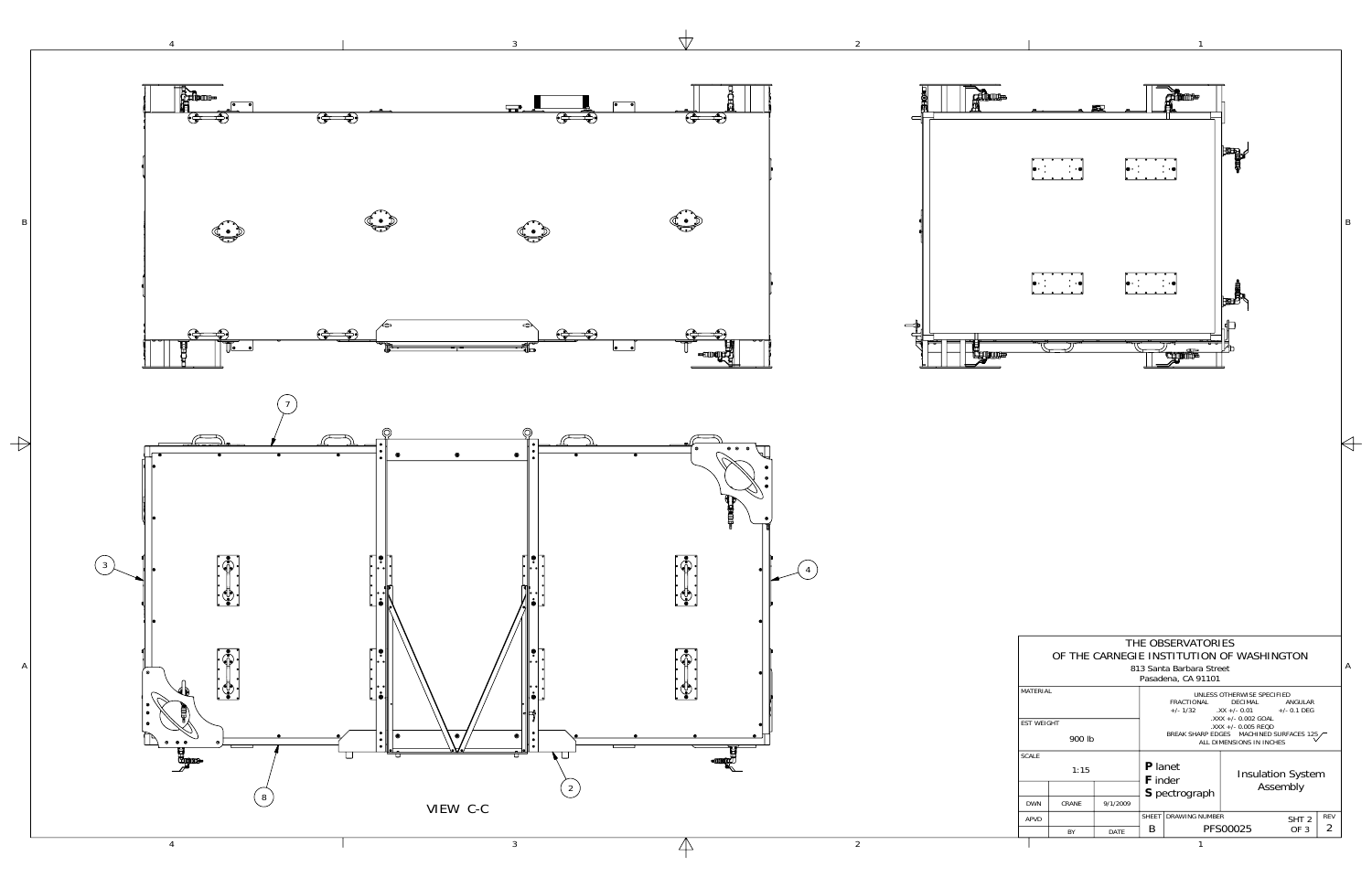

 $\overline{\forall}$ 

 $\overline{2}$ 

 $\overline{4}$ 

 $\Rightarrow$ 

 $\overline{3}$ 



 $\mathsf{B}$ 

 $\Leftrightarrow$ 

|                               | THE OBSERVATORIES<br>OF THE CARNEGIE INSTITUTION OF WASHINGTON<br>813 Santa Barbara Street<br>Pasadena, CA 91101 |          |                                                                                                                                                                                                                                                                    |                       |                          |                  |            |  |  |  |  |
|-------------------------------|------------------------------------------------------------------------------------------------------------------|----------|--------------------------------------------------------------------------------------------------------------------------------------------------------------------------------------------------------------------------------------------------------------------|-----------------------|--------------------------|------------------|------------|--|--|--|--|
| MATFRIAL<br><b>FST WFIGHT</b> |                                                                                                                  |          | UNLESS OTHERWISE SPECIFIED<br>FRACTIONAL<br>DECIMAL<br>ANGUI AR<br>$+/- 1/32$ $\quad$ $\quad$ XX $+/- 0.01$ $\quad$ $+/- 0.1$ DEG<br>$.$ XXX +/- 0.002 GOAL<br>$\lambda$ XXX +/- 0.005 REQD<br>BREAK SHARP EDGES MACHINED SURFACES 125<br>ALL DIMENSIONS IN INCHES |                       |                          |                  |            |  |  |  |  |
|                               | 900 lb                                                                                                           |          |                                                                                                                                                                                                                                                                    |                       |                          |                  |            |  |  |  |  |
| <b>SCALE</b>                  | 1:15                                                                                                             |          | <b>P</b> lanet<br><b>F</b> inder                                                                                                                                                                                                                                   |                       | <b>Insulation System</b> |                  |            |  |  |  |  |
|                               |                                                                                                                  | 9/1/2009 |                                                                                                                                                                                                                                                                    | S pectrograph         | Assembly                 |                  |            |  |  |  |  |
| <b>DWN</b><br><b>APVD</b>     | CRANF                                                                                                            |          | <b>SHFFT</b>                                                                                                                                                                                                                                                       | <b>DRAWING NUMBER</b> |                          | SHT <sub>2</sub> | <b>RFV</b> |  |  |  |  |
|                               | <b>BY</b>                                                                                                        | DATE     | B                                                                                                                                                                                                                                                                  | PFS00025<br>OF 3      |                          | 2                |            |  |  |  |  |